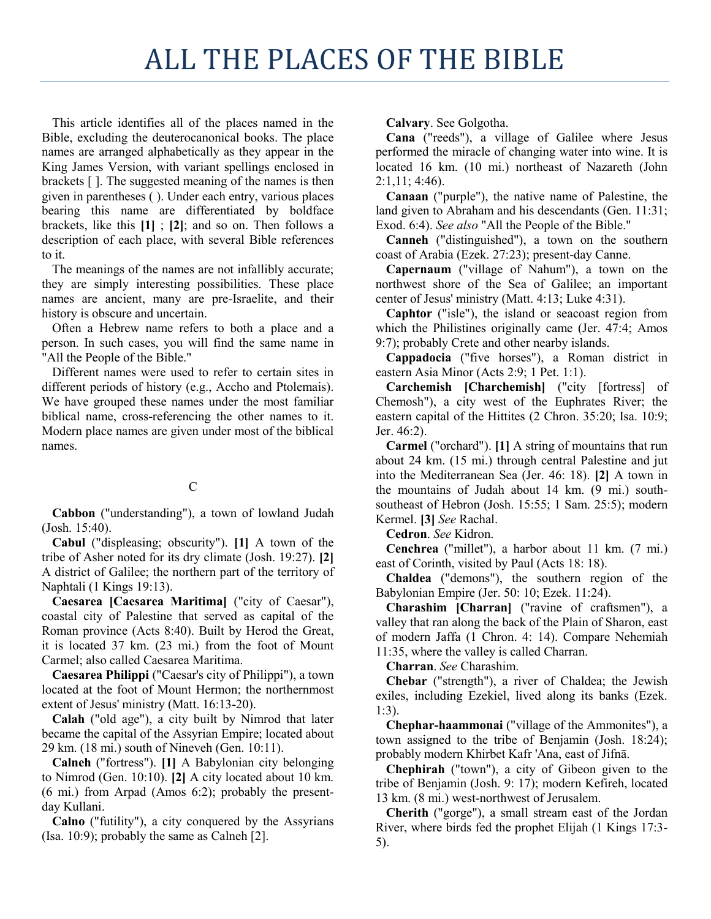## ALL THE PLACES OF THE BIBLE

This article identifies all of the places named in the Bible, excluding the deuterocanonical books. The place names are arranged alphabetically as they appear in the King James Version, with variant spellings enclosed in brackets [ ]. The suggested meaning of the names is then given in parentheses ( ). Under each entry, various places bearing this name are differentiated by boldface brackets, like this **[1]** ; **[2]**; and so on. Then follows a description of each place, with several Bible references to it.

The meanings of the names are not infallibly accurate; they are simply interesting possibilities. These place names are ancient, many are pre-Israelite, and their history is obscure and uncertain.

Often a Hebrew name refers to both a place and a person. In such cases, you will find the same name in "All the People of the Bible."

Different names were used to refer to certain sites in different periods of history (e.g., Accho and Ptolemais). We have grouped these names under the most familiar biblical name, cross-referencing the other names to it. Modern place names are given under most of the biblical names.

## $\mathcal{C}$

**Cabbon** ("understanding"), a town of lowland Judah (Josh. 15:40).

**Cabul** ("displeasing; obscurity"). **[1]** A town of the tribe of Asher noted for its dry climate (Josh. 19:27). **[2]** A district of Galilee; the northern part of the territory of Naphtali (1 Kings 19:13).

**Caesarea [Caesarea Maritima]** ("city of Caesar"), coastal city of Palestine that served as capital of the Roman province (Acts 8:40). Built by Herod the Great, it is located 37 km. (23 mi.) from the foot of Mount Carmel; also called Caesarea Maritima.

**Caesarea Philippi** ("Caesar's city of Philippi"), a town located at the foot of Mount Hermon; the northernmost extent of Jesus' ministry (Matt. 16:13-20).

**Calah** ("old age"), a city built by Nimrod that later became the capital of the Assyrian Empire; located about 29 km. (18 mi.) south of Nineveh (Gen. 10:11).

**Calneh** ("fortress"). **[1]** A Babylonian city belonging to Nimrod (Gen. 10:10). **[2]** A city located about 10 km. (6 mi.) from Arpad (Amos 6:2); probably the presentday Kullani.

**Calno** ("futility"), a city conquered by the Assyrians (Isa. 10:9); probably the same as Calneh [2].

**Calvary**. See Golgotha.

**Cana** ("reeds"), a village of Galilee where Jesus performed the miracle of changing water into wine. It is located 16 km. (10 mi.) northeast of Nazareth (John 2:1,11; 4:46).

**Canaan** ("purple"), the native name of Palestine, the land given to Abraham and his descendants (Gen. 11:31; Exod. 6:4). *See also* "All the People of the Bible."

**Canneh** ("distinguished"), a town on the southern coast of Arabia (Ezek. 27:23); present-day Canne.

**Capernaum** ("village of Nahum"), a town on the northwest shore of the Sea of Galilee; an important center of Jesus' ministry (Matt. 4:13; Luke 4:31).

**Caphtor** ("isle"), the island or seacoast region from which the Philistines originally came (Jer. 47:4; Amos 9:7); probably Crete and other nearby islands.

**Cappadocia** ("five horses"), a Roman district in eastern Asia Minor (Acts 2:9; 1 Pet. 1:1).

**Carchemish [Charchemish]** ("city [fortress] of Chemosh"), a city west of the Euphrates River; the eastern capital of the Hittites (2 Chron. 35:20; Isa. 10:9; Jer. 46:2).

**Carmel** ("orchard"). **[1]** A string of mountains that run about 24 km. (15 mi.) through central Palestine and jut into the Mediterranean Sea (Jer. 46: 18). **[2]** A town in the mountains of Judah about 14 km. (9 mi.) southsoutheast of Hebron (Josh. 15:55; 1 Sam. 25:5); modern Kermel. **[3]** *See* Rachal.

**Cedron**. *See* Kidron.

**Cenchrea** ("millet"), a harbor about 11 km. (7 mi.) east of Corinth, visited by Paul (Acts 18: 18).

**Chaldea** ("demons"), the southern region of the Babylonian Empire (Jer. 50: 10; Ezek. 11:24).

**Charashim [Charran]** ("ravine of craftsmen"), a valley that ran along the back of the Plain of Sharon, east of modern Jaffa (1 Chron. 4: 14). Compare Nehemiah 11:35, where the valley is called Charran.

**Charran**. *See* Charashim.

**Chebar** ("strength"), a river of Chaldea; the Jewish exiles, including Ezekiel, lived along its banks (Ezek. 1:3).

**Chephar-haammonai** ("village of the Ammonites"), a town assigned to the tribe of Benjamin (Josh. 18:24); probably modern Khirbet Kafr 'Ana, east of Jifnā.

**Chephirah** ("town"), a city of Gibeon given to the tribe of Benjamin (Josh. 9: 17); modern Kefireh, located 13 km. (8 mi.) west-northwest of Jerusalem.

**Cherith** ("gorge"), a small stream east of the Jordan River, where birds fed the prophet Elijah (1 Kings 17:3- 5).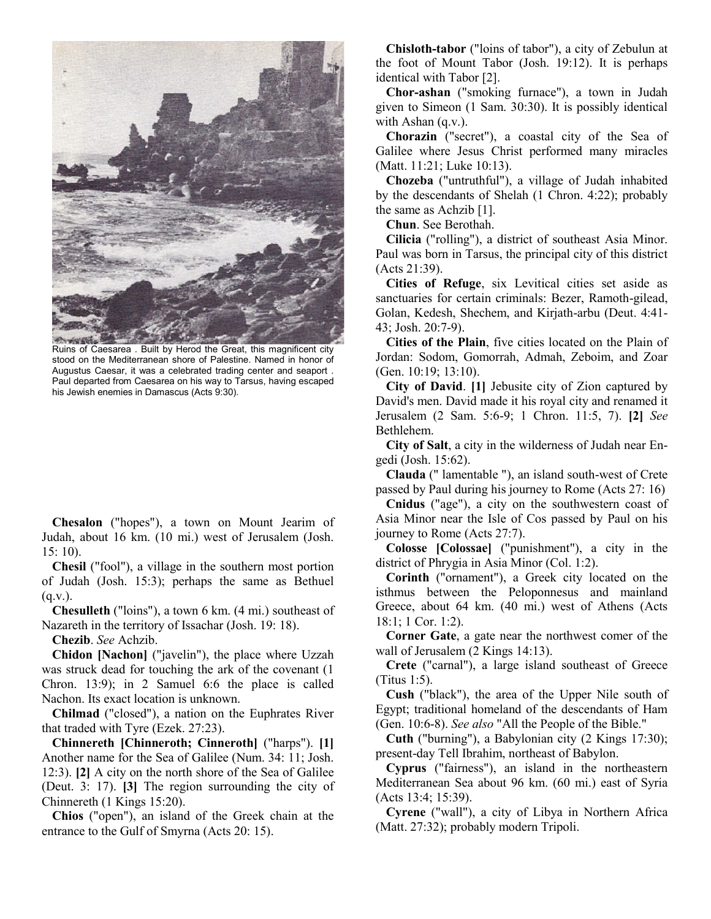

Ruins of Caesarea . Built by Herod the Great, this magnificent city stood on the Mediterranean shore of Palestine. Named in honor of Augustus Caesar, it was a celebrated trading center and seaport . Paul departed from Caesarea on his way to Tarsus, having escaped his Jewish enemies in Damascus (Acts 9:30).

**Chesalon** ("hopes"), a town on Mount Jearim of Judah, about 16 km. (10 mi.) west of Jerusalem (Josh. 15: 10).

**Chesil** ("fool"), a village in the southern most portion of Judah (Josh. 15:3); perhaps the same as Bethuel  $(q.v.)$ .

**Chesulleth** ("loins"), a town 6 km. (4 mi.) southeast of Nazareth in the territory of Issachar (Josh. 19: 18).

**Chezib**. *See* Achzib.

**Chidon [Nachon]** ("javelin"), the place where Uzzah was struck dead for touching the ark of the covenant (1 Chron. 13:9); in 2 Samuel 6:6 the place is called Nachon. Its exact location is unknown.

**Chilmad** ("closed"), a nation on the Euphrates River that traded with Tyre (Ezek. 27:23).

**Chinnereth [Chinneroth; Cinneroth]** ("harps"). **[1]** Another name for the Sea of Galilee (Num. 34: 11; Josh. 12:3). **[2]** A city on the north shore of the Sea of Galilee (Deut. 3: 17). **[3]** The region surrounding the city of Chinnereth (1 Kings 15:20).

**Chios** ("open"), an island of the Greek chain at the entrance to the Gulf of Smyrna (Acts 20: 15).

**Chisloth-tabor** ("loins of tabor"), a city of Zebulun at the foot of Mount Tabor (Josh. 19:12). It is perhaps identical with Tabor [2].

**Chor-ashan** ("smoking furnace"), a town in Judah given to Simeon (1 Sam. 30:30). It is possibly identical with Ashan (q.v.).

**Chorazin** ("secret"), a coastal city of the Sea of Galilee where Jesus Christ performed many miracles (Matt. 11:21; Luke 10:13).

**Chozeba** ("untruthful"), a village of Judah inhabited by the descendants of Shelah (1 Chron. 4:22); probably the same as Achzib [1].

**Chun**. See Berothah.

**Cilicia** ("rolling"), a district of southeast Asia Minor. Paul was born in Tarsus, the principal city of this district (Acts 21:39).

**Cities of Refuge**, six Levitical cities set aside as sanctuaries for certain criminals: Bezer, Ramoth-gilead, Golan, Kedesh, Shechem, and Kirjath-arbu (Deut. 4:41- 43; Josh. 20:7-9).

**Cities of the Plain**, five cities located on the Plain of Jordan: Sodom, Gomorrah, Admah, Zeboim, and Zoar (Gen. 10:19; 13:10).

**City of David**. **[1]** Jebusite city of Zion captured by David's men. David made it his royal city and renamed it Jerusalem (2 Sam. 5:6-9; 1 Chron. 11:5, 7). **[2]** *See* Bethlehem.

**City of Salt**, a city in the wilderness of Judah near Engedi (Josh. 15:62).

**Clauda** (" lamentable "), an island south-west of Crete passed by Paul during his journey to Rome (Acts 27: 16)

**Cnidus** ("age"), a city on the southwestern coast of Asia Minor near the Isle of Cos passed by Paul on his journey to Rome (Acts 27:7).

**Colosse [Colossae]** ("punishment"), a city in the district of Phrygia in Asia Minor (Col. 1:2).

**Corinth** ("ornament"), a Greek city located on the isthmus between the Peloponnesus and mainland Greece, about 64 km. (40 mi.) west of Athens (Acts 18:1; 1 Cor. 1:2).

**Corner Gate**, a gate near the northwest comer of the wall of Jerusalem (2 Kings 14:13).

**Crete** ("carnal"), a large island southeast of Greece (Titus 1:5).

**Cush** ("black"), the area of the Upper Nile south of Egypt; traditional homeland of the descendants of Ham (Gen. 10:6-8). *See also* "All the People of the Bible."

**Cuth** ("burning"), a Babylonian city (2 Kings 17:30); present-day Tell Ibrahim, northeast of Babylon.

**Cyprus** ("fairness"), an island in the northeastern Mediterranean Sea about 96 km. (60 mi.) east of Syria (Acts 13:4; 15:39).

**Cyrene** ("wall"), a city of Libya in Northern Africa (Matt. 27:32); probably modern Tripoli.